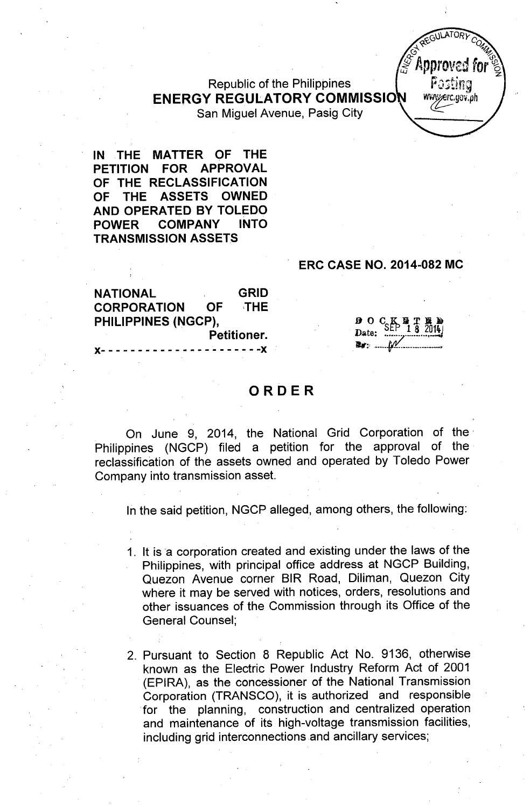# Republic of the Philippines **ENERGY REGULATORY COMMISSIO** San Miguel Avenue, Pasig City

**IN THE MATTER OF THE PETITION FOR APPROVAL OF THE RECLASSIFICATION OF THE ASSETS OWNED AND OPERATED BY TOLEDO POWER COMPANY INTO TRANSMISSION ASSETS**

#### **ERC CASE NO. 2014-082 MC**

**NATIONAL GRID CORPORATION OF** ,THE **PHILIPPINES (NGCP), Petitioner.**

 $\begin{array}{c}\n\mathbf{D} & \mathbf{O} & \mathbf{C} & \mathbf{K} & \mathbf{D} & \mathbf{T} & \mathbf{B} \\
\mathbf{D} & \mathbf{A} & \mathbf{E} \\
\mathbf{D} & \mathbf{A} & \mathbf{E} \\
\mathbf{D} & \mathbf{A} & \mathbf{A} \\
\mathbf{D} & \mathbf{A} & \mathbf{A}\n\end{array}$ ....' ~"'.if.o::..•"".\_.....•. \_.

### **ORDER**

 $- - - - - -$ 

On June 9, 2014, the National Grid Corporation of the' Philippines (NGCP) filed a petition for the approval of the reclassification of the assets owned and operated by Toledo Power Company into transmission asset.

In the said petition, NGCP alleged, among others, the following:

1. It is 'a corporation created and existing under the laws of the Philippines, with principal office address at NGCP Building, Quezon Avenue corner SIR Road, Diliman, Quezon City where it may be served with notices, orders, resolutions and other issuances of the Commission through its Office of the General Counsel;

2. Pursuant to Section 8 Republic Act No. 9136, otherwise known as the Electric Power Industry Reform Act of 2001 (EPIRA), as the concessioner of the National Transmission Corporation (TRANSCO), it is authorized and responsible for the planning, construction and centralized operation and maintenance of its high-voltage transmission facilities, including grid interconnections and ancillary services;

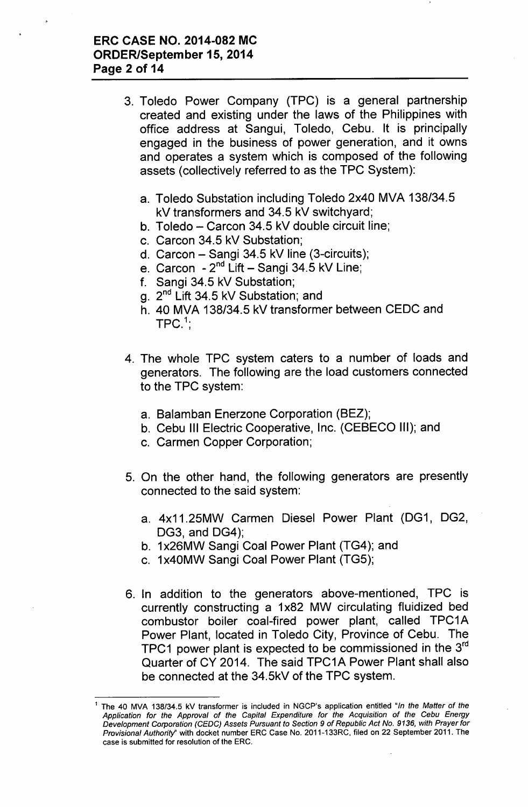### ERC CASE NO. 2014-082 MC ORDER/September 15,2014 Page 2 of 14

- 3. Toledo Power Company (TPC) is a general partnership created and existing under the laws of the Philippines with office address at Sangui, Toledo, Cebu. It is principally engaged in the business of power generation, and it owns and operates a system which is composed of the following assets (collectively referred to as the TPC System):
	- a. Toledo Substation including Toledo 2x40 MVA 138/34.5 kV transformers and 34.5 kV switchyard;
	- b. Toledo Carcon 34.5 kV double circuit line:
	- c. Carcon 34.5 kV Substation;
	- d. Carcon Sangi 34.5 kV line (3-circuits);
	- e. Carcon 2<sup>nd</sup> Lift Sangi 34.5 kV Line;
	- f. Sangi 34.5 kV Substation;
	- g. 2<sup>nd</sup> Lift 34.5 kV Substation; and
	- h. 40 MVA 138/34.5 kV transformer between CEDC and  $\mathsf{TPC}^{.1}$
- 4. The whole TPC system caters to a number of loads and generators. The following are the load customers connected to the TPC system:
	- a. Balamban Enerzone Corporation (BEZ);
	- b. Cebu III Electric Cooperative, Inc. (CEBECO III); and
	- c. Carmen Copper Corporation;
- 5. On the other hand, the following generators are presently connected to the said system:
	- a. 4x11.25MW Carmen Diesel Power Plant (DG1, DG2, DG3, and DG4);
	- b. 1x26MW Sangi Coal Power Plant (TG4); and
	- c. 1x40MW Sangi Coal Power Plant (TG5);
- 6. In addition to the generators above-mentioned, TPC is currently constructing a 1x82 MW circulating fluidized bed combustor boiler coal-fired power plant, called TPC1A Power Plant, located in Toledo City, Province of Cebu. The <code>TPC1</code> power plant is expected to be commissioned in the 3 $^{\text{rd}}$ Quarter of CY 2014. The said TPC1A Power Plant shall also be connected at the 34.5kV of the TPC system.

<sup>1</sup> The 40 MVA 138/34.5 kV transformer is included in NGCP's application entitled *"In the Matter* of *the Application for the Approval* of *the Capital Expenditure for the Acquisition* of *the Cebu Energy Development Corporation (CEO*C) *Assets Pursuant to Section* 9 of *Republic Act No.* 9136, *with Prayer for Provisional AuthoritY'* with docket number ERC Case No. 2011-133RC, filed on 22 September 2011. The case is submitted for resolution of the ERC.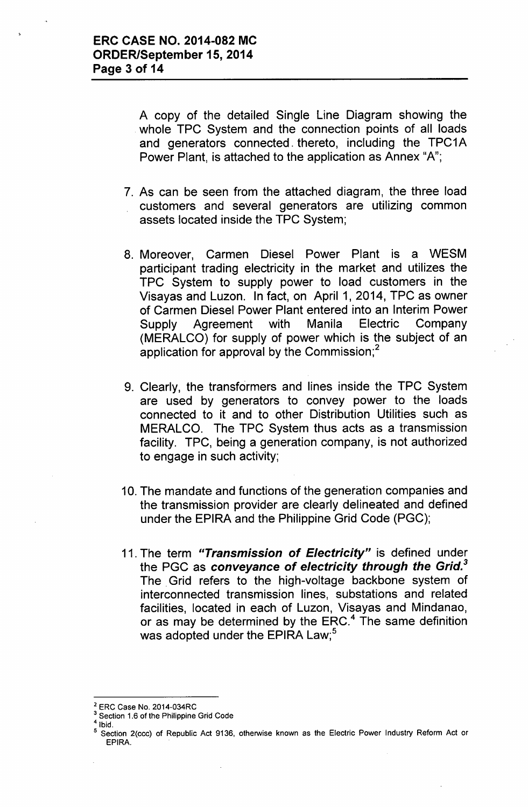A copy of the detailed Single Line Diagram showing the whole TPC System and the connection points of all loads and generators connected. thereto, including the TPC1A Power Plant, is attached to the application as Annex "A";

- 7. As can be seen from the attached diagram, the three load customers and several generators are utilizing common assets located inside the TPC System;
- 8. Moreover, Carmen Diesel Power Plant is a WESM participant trading electricity in the market and utilizes the TPC System to supply power to load customers in the Visayas and Luzon. In fact, on April 1, 2014, TPC as owner of Carmen Diesel Power Plant entered into an Interim Power Supply Agreement with Manila Electric Company (MERALCO) for supply of power which is the subject of an application for approval by the Commission; $<sup>2</sup>$ </sup>
- 9. Clearly, the transformers and lines inside the TPC System are used by generators to convey power to the loads connected to it and to other Distribution Utilities such as MERALCO. The TPC System thus acts as a transmission facility. TPC, being a generation company, is not authorized to engage in such activity;
- 10. The mandate and functions of the generation companies and the transmission provider are clearly delineated and defined under the EPIRA and the Philippine Grid Code (PGC);
- 11. The term *"Transmission of Electricity"* is defined under the PGC as *conveyance* of *electricity through the Grid.*<sup>3</sup> The. Grid refers to the high-voltage backbone system of interconnected transmission lines, substations and related facilities, located in each of Luzon, Visayas and Mindanao, or as may be determined by the ERC. $4$  The same definitior was adopted under the EPIRA Law;<sup>5</sup>

<sup>2</sup> ERC Case No. 2014-034RC

<sup>&</sup>lt;sup>3</sup> Section 1.6 of the Philippine Grid Code

 $<sup>4</sup>$  Ibid.</sup>

Section 2(ccc) of Republic Act 9136, otherwise known as the Electric Power Industry Reform Act or EPIRA.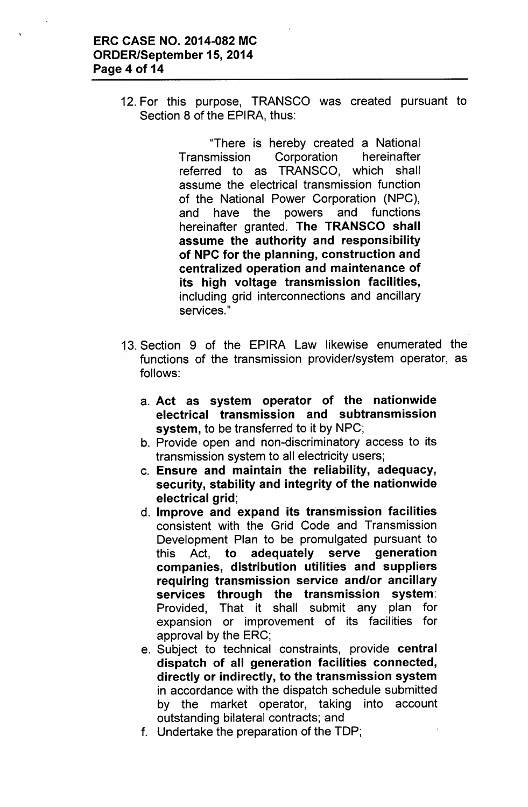12. For this purpose, TRANSCO was created pursuant to Section 8 of the EPIRA, thus:

> "There is hereby created a National Transmission Corporation hereinafter referred to as TRANSCO, which shall assume the electrical transmission function of the National Power Corporation (NPC), and have the powers and functions hereinafter granted. The TRANSCO shall assume the authority and responsibility of NPC for the planning, construction and centralized operation and maintenance of its high voltage transmission facilities, including grid interconnections and ancillary services<sup>"</sup>

- 13. Section 9 of the EPIRA Law likewise enumerated the functions of the transmission provider/system operator, as follows:
	- a. Act as system operator of the nationwide electrical transmission and subtransmission system, to be transferred to it by NPC;
	- b. Provide open and non-discriminatory access to its transmission system to all electricity users;
	- c. Ensure and maintain the reliability, adequacy, security, stability and integrity of the nationwide electrical grid;
	- d. Improve and expand its transmission facilities consistent with the Grid Code and Transmission Development Plan to be promulgated pursuant to this Act, to adequately serve generation companies, distribution utilities and suppliers requiring transmission service and/or ancillary services through the transmission system: Provided, That it shall submit any plan for expansion or improvement of its facilities for approval by the ERC;
	- e. Subject to technical constraints, provide central dispatch of all generation facilities connected, directly or indirectly, to the transmission system in accordance with the dispatch schedule submitted by the market operator, taking into account outstanding bilateral contracts; and
	- f. Undertake the preparation of the TOP;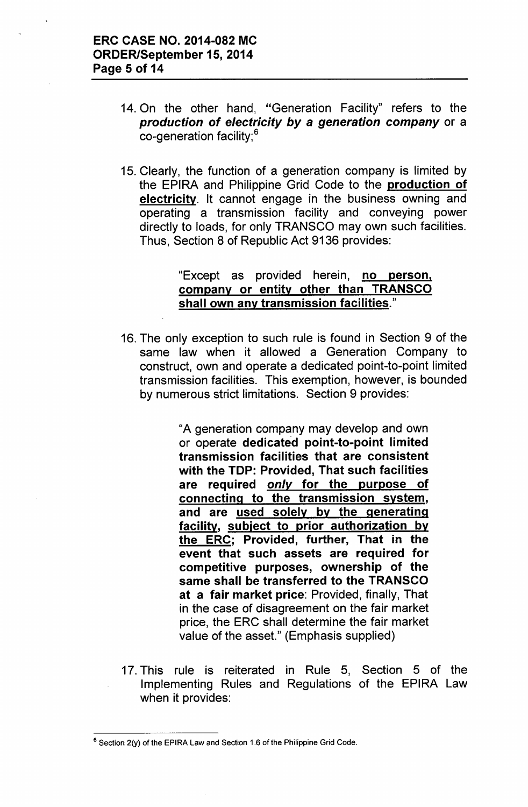- 14. On the other hand, "Generation Facility" refers to the *production of electricity by* a *generation company* or a co-generation facility;<sup>6</sup>
- 15. Clearly, the function of a generation company is limited by the EPIRA and Philippine Grid Code to the production of electricity. It cannot engage in the business owning and operating a transmission facility and conveying power directly to loads, for only TRANSCO may own such facilities. Thus, Section 8 of Republic Act 9136 provides:

# "Except as provided herein, no person, company or entity other than TRANSCO shall own any transmission facilities."

16. The only exception to such rule is found in Section 9 of the same law when it allowed a Generation Company to construct, own and operate a dedicated point-to-point limited transmission facilities. This exemption, however, is bounded by numerous strict limitations. Section 9 provides:

> "A generation company may develop and own or operate dedicated point-to-point limited transmission facilities that are consistent with the TOP: Provided, That such facilities are required *only* for the purpose of connecting to the transmission system, and are used solely by the generating facility, subject to prior authorization by the ERC; Provided, further, That in the event that such assets are required for competitive purposes, ownership of the same shall be transferred to the TRANSCO at a fair market price: Provided, finally, That in the case of disagreement on the fair market price, the ERC shall determine the fair market value of the asset." (Emphasis supplied)

17. This rule is reiterated in Rule 5, Section 5 of the Implementing Rules and Regulations of the EPIRA Law when it provides:

<sup>&</sup>lt;sup>6</sup> Section 2(y) of the EPIRA Law and Section 1.6 of the Philippine Grid Code.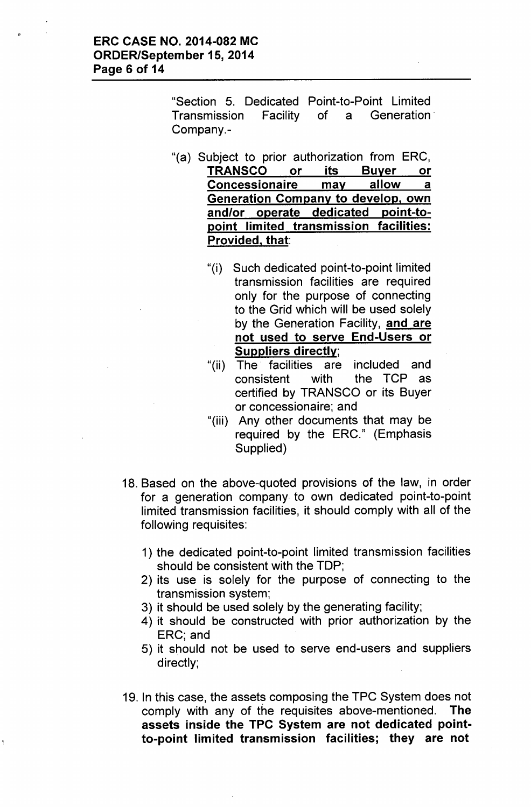"Section 5. Dedicated Point-to-Point limited Transmission Facility of a Generation' Company.-

- "(a) Subject to prior authorization from ERC, TRANSCO or its Buyer or Concessionaire may allow a Generation Company to develop, own and/or operate dedicated point-topoint limited transmission facilities: Provided, that:
	- "(i) Such dedicated point-to-point limited transmission facilities are required only for the purpose of connecting to the Grid which will be used solely by the Generation Facility, and are not used to serve End-Users or Suppliers directly;
	- "(ii) The facilities are included and consistent with the TCP as certified by TRANSCO or its Buyer or concessionaire; and
	- "(iii) Any other documents that may be required by the ERC." (Emphasis Supplied)
- 18. Based on the above-quoted provisions of the law, in order for a generation company to own dedicated point-to-point limited transmission facilities, it should comply with all of the following requisites:
	- 1) the dedicated point-to-point limited transmission facilities should be consistent with the TOP;
	- 2) its use is solely for the purpose of connecting to the transmission system;
	- 3) it should be used solely by the generating facility;
	- 4) it should be constructed with prior authorization by the ERC; and
	- 5) it should not be used to serve end-users and suppliers directly;
- 19. In this case, the assets composing the TPC System does not comply with any of *the* requisites above-mentioned. The assets inside the TPC System are not dedicated pointto-point limited transmission facilities; they are not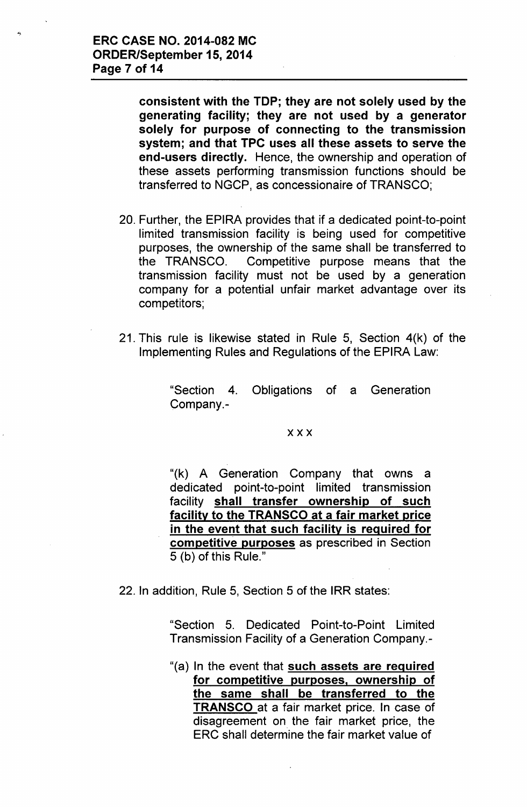$\ddot{ }$ 

consistent with the TOP; they are not solely used by the generating facility; they are not used by a generator solely for purpose of connecting to the transmission system; and that TPC uses all these assets to serve the end-users directly. Hence, the ownership and operation of these assets performing transmission functions should be transferred to NGCP, as concessionaire of TRANSCO;

- 20. Further, the EPIRA provides that if a dedicated point-to-point limited transmission facility is being used for competitive purposes, the ownership of the same shall be transferred to the TRANSCO. Competitive purpose means that the transmission facility must not be used by a generation company for a potential unfair market advantage over its competitors;
- 21. This rule is likewise stated in Rule 5, Section 4(k) of the Implementing Rules and Regulations of the EPIRA Law:

"Section 4. Obligations of a Generation Company.-

#### xxx

"(k) A Generation Company that owns a dedicated point-to-point limited transmission facility shall transfer ownership of such facility to the TRANSCO at a fair market price in the event that such facility is required for competitive purposes as prescribed in Section 5 (b) of this Rule."

22. In addition, Rule 5, Section 5 of the IRR states:

"Section 5. Dedicated Point-to-Point limited Transmission Facility of a Generation Company.-

"(a) In the event that such assets are required for competitive purposes, ownership of the same shall be transferred to the TRANSCO at a fair market price. In case of disagreement on the fair market price, the ERC shall determine the fair market value of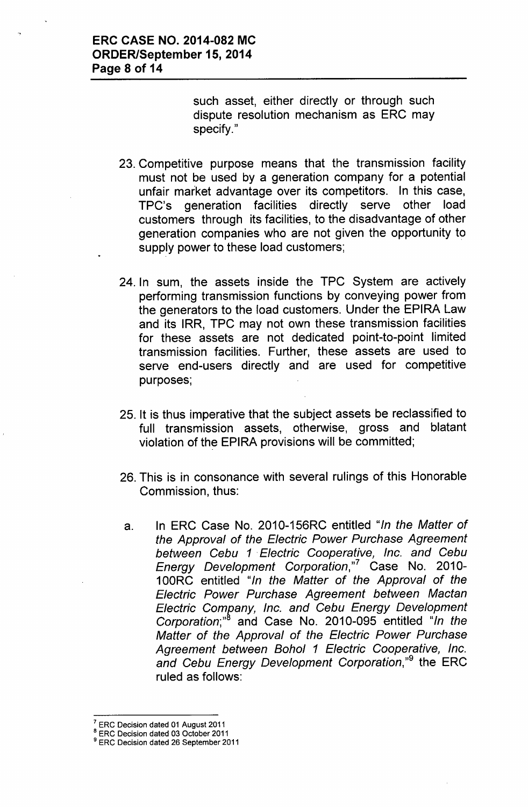such asset, either directly or through such dispute resolution mechanism as ERC may specify."

- 23. Competitive purpose means that the transmission facility must not be used by a generation company for a potential unfair market advantage over its competitors. In this case, TPC's generation facilities directly serve other load customers through its facilities, to the disadvantage of other generation companies who are not given the opportunity to supply power to these load customers;
- 24. In sum, the assets inside the TPC System are actively performing transmission functions by conveying power from the generators to the load customers. Under the EPIRA Law and its IRR, TPC may not own these transmission facilities for these assets are not dedicated point-to-point limited transmission facilities. Further, these assets are used to serve end-users directly and are used for competitive purposes;
- 25. It is thus imperative that the subject assets be reclassified to full transmission assets, otherwise, gross and blatant violation of the EPIRA provisions will be committed;
- 26. This is in consonance with several rulings of this Honorable Commission, thus:
- a. In ERC Case No. 2010-156RC entitled *"In the Matter of the Approval of the Electric Power Purchase Agreement between Cebu* 1. *Electric Cooperative, Inc. and Cebu Energy Development Corporation,"?* Case No. 2010- 100RC entitled *"In the Matter of the Approval of the Electric Power Purchase Agreement between Mactan Electric Com{!*a*ny, Inc. and Cebu Energy Development Corporation;"* and Case No. 2010-095 entitled *"In the Matter of the Approval of the Electric Power Purchase Agreement between Bohol* 1 *Electric Cooperative, Inc. and Cebu Energy Development Corporation,"9* the ERC ruled as follows:

 $7$  ERC Decision dated 01 August 2011

<sup>&</sup>lt;sup>8</sup> ERC Decision dated 03 October 2011

<sup>&</sup>lt;sup>9</sup> ERC Decision dated 26 September 2011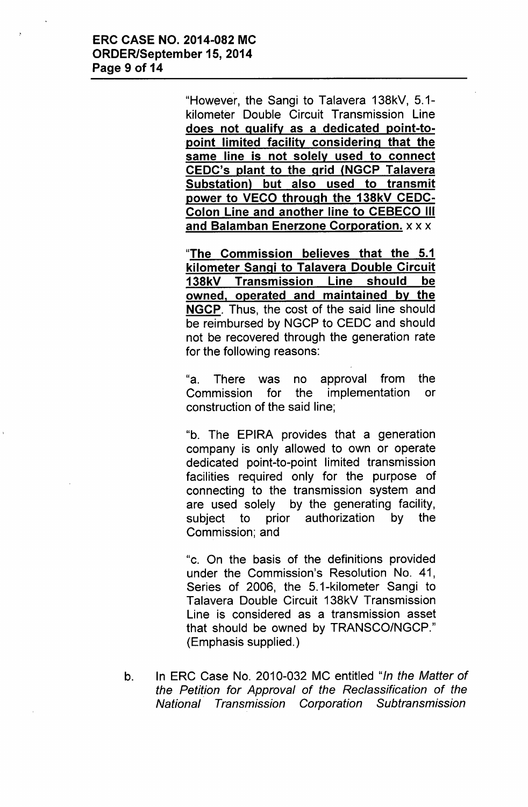"However, the Sangi to Talavera 138kV, 5.1 kilometer Double Circuit Transmission Line does not qualify as a dedicated point-topoint limited facility considering that the same line is not solely used to connect CEDC's plant to the grid (NGCP Talavera Substation) but also used to transmit power to VECO through the 138kV CEDC-Colon Line and another line to CEBECO III and Balamban Enerzone Corporation. x x x

"The Commission believes that the 5.1 kilometer Sangi to Talavera Double Circuit 138kV Transmission Line should be owned, operated and maintained by the NGCP. Thus, the cost of the said line should be reimbursed by NGCP to CEDC and should not be recovered through the generation rate for the following reasons:

"a. There was no approval from the Commission for the implementation or construction of the said line;

"b. The EPIRA provides that a generation company is only allowed to own or operate dedicated point-to-point limited transmission facilities required only for the purpose of connecting to the transmission system and are used solely by the generating facility, subject to prior authorization by the Commission; and

"c. On the basis of the definitions provided under the Commission's Resolution No. 41, Series of 2006, the 5.1-kilometer Sangi to Talavera Double Circuit 138kV Transmission Line is considered as a transmission asset that should be owned by TRANSCO/NGCP." (Emphasis supplied.)

b. In ERC Case No. 2010-032 MC entitled *"In the Matter of the Petition for Approval of the Reclassification of the National Transmission Corporation Subtransmission*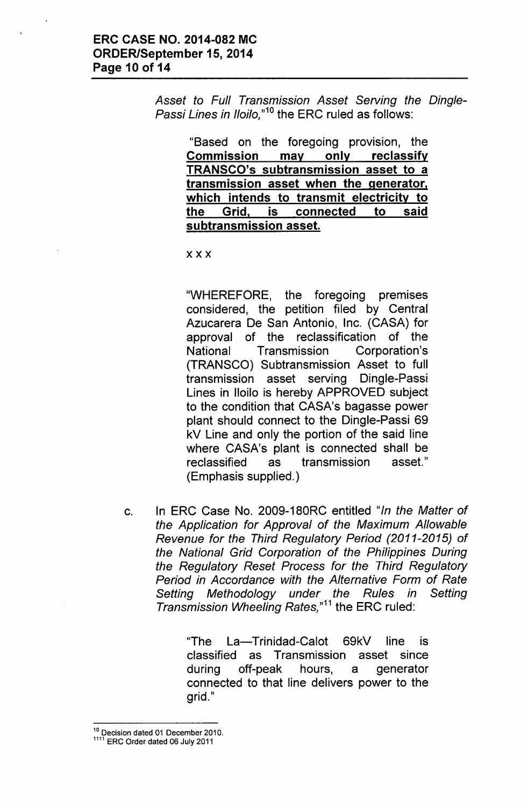Asset *to Full Transmission* Asset *Serving the Dingle-Passi Lines in Iloilo*,"<sup>10</sup> the ERC ruled as follows:

"Based on the foregoing provision, the Commission may only reclassify TRANSCO's subtransmission asset to a transmission asset when the generator, which intends to transmit electricity to the Grid, is connected to said subtransmission asset.

xxx

"WHEREFORE, the foregoing premises considered, the petition filed by Central Azucarera De San Antonio, Inc. (CASA) for approval of the reclassification of the National Transmission Corporation's (TRANSCO) Subtransmission Asset to full transmission asset serving Dingle-Passi Lines in Iloilo is hereby APPROVED subject to the condition that CASA's bagasse power plant should connect to the Dingle-Passi 69 kV Line and only the portion of the said line where CASA's plant is connected shall be reclassified as transmission asset." (Emphasis supplied.)

c. In ERC Case No. 2009-180RC entitled *"In the Matter* of *the Application for Approval* of *the Maximum Allowable Revenue for the Third Regulatory Period (2011-2015)* of *the National Grid Corporation* of *the Philippines During the Regulatory Reset Process for the Third Regulatory Period in Accordance with the Alternative Form* of *Rate Setting Methodology under the Rules in Setting Transmission Wheeling Rates*,"<sup>11</sup> the ERC ruled:

> 'The La-Trinidad-Calot 69kV line is classified as Transmission asset since during off-peak hours, a generator connected to that line delivers power to the grid."

<sup>10</sup> Decision dated 01 December 2010.

<sup>1111</sup> ERC Order dated 06 July 2011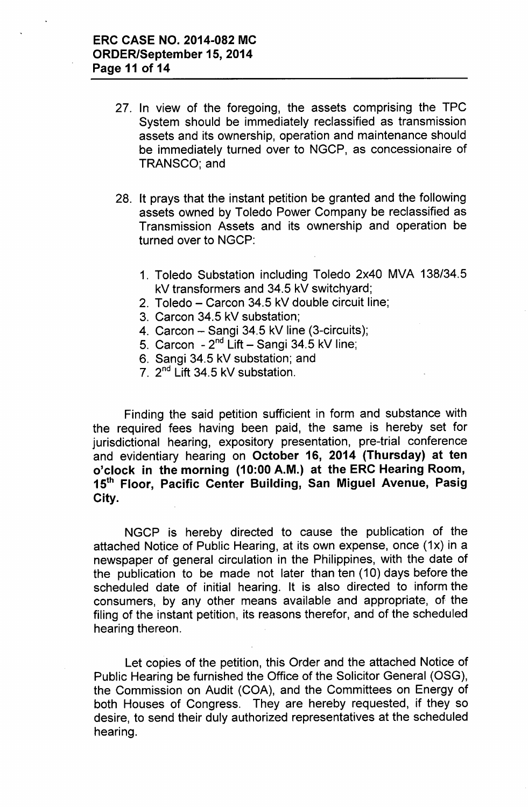- 27. In view of the foregoing, the assets comprising the TPC System should be immediately reclassified as transmission assets and its ownership, operation and maintenance should be immediately turned over to NGCP, as concessionaire of TRANSCO; and
- 28. It prays that the instant petition be granted and the following assets owned by Toledo Power Company be reclassified as Transmission Assets and its ownership and operation be turned over to NGCP:
	- 1. Toledo Substation including Toledo 2x40 MVA 138/34.5 kV transformers and 34.5 kV switchyard;
	- 2. Toledo Carcon 34.5 kV double circuit line;
	- 3. Carcon 34.5 kV substation;
	- 4. Carcon Sangi 34.5 kV line (3-circuits);
	- 5. Carcon 2<sup>nd</sup> Lift Sangi 34.5 kV line;
	- 6. Sangi 34.5 kV substation; and
	- 7. 2<sup>nd</sup> Lift 34.5 kV substation

Finding the said petition sufficient in form and substance with the required fees having been paid, the same is hereby set for jurisdictional hearing, expository presentation, pre-trial conference and evidentiary hearing on October 16, 2014 (Thursday) at ten o'clock in the morning (10:00 A.M.) at the ERC Hearing Room, 15<sup>th</sup> Floor, Pacific Center Building, San Miguel Avenue, Pasig City.

NGCP is hereby directed to cause the publication of the attached Notice of Public Hearing, at its own expense, once *(1x)* in a newspaper of general circulation in the Philippines, with the date of the publication to be made not later than ten (10) days before the scheduled date of initial hearing. It is also directed to inform the consumers, by any other means available and appropriate, of the filing of the instant petition, its reasons therefor, and of the scheduled hearing thereon.

Let copies of the petition, this Order and the attached Notice of Public Hearing be furnished the Office of the Solicitor General (OSG), the Commission on Audit (COA), and the Committees on Energy of both Houses of Congress. They are hereby requested, if they so desire, to send their duly authorized representatives at the scheduled hearing.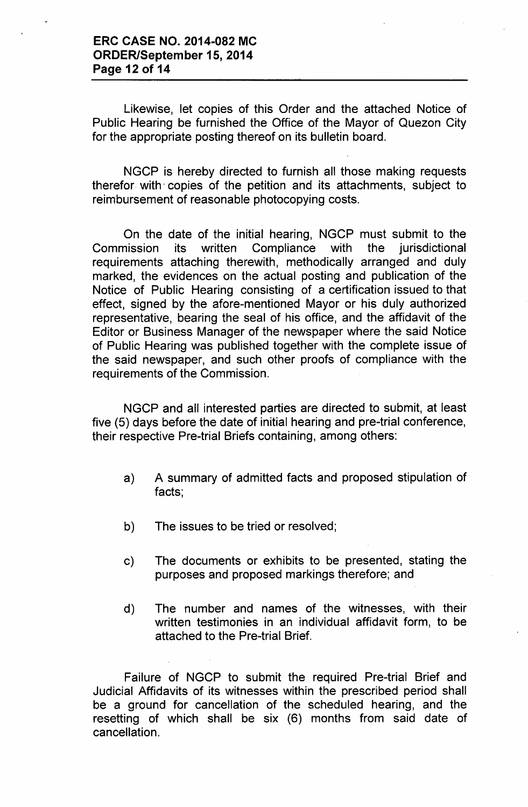Likewise, let copies of this Order and the attached Notice of Public Hearing be furnished the Office of the Mayor of Quezon City for the appropriate posting thereof on its bulletin board.

NGCP is hereby directed to furnish all those making requests therefor with' copies of the petition and its attachments, subject to reimbursement of reasonable photocopying costs.

On the date of the initial hearing, NGCP must submit to the Commission its written Compliance with the jurisdictional requirements attaching therewith, methodically arranged and duly marked, the evidences on the actual posting and publication of the Notice of Public Hearing consisting of a certification issued to that effect, signed by the afore-mentioned Mayor or his duly authorized representative, bearing the seal of his office, and the affidavit of the Editor or Business Manager of the newspaper where the said Notice of Public Hearing was published together with the complete issue of the said newspaper, and such other proofs of compliance with the requirements of the Commission.

NGCP and all interested parties are directed to submit, at least five (5) days before the date of initial hearing and pre-trial conference, their respective Pre-trial Briefs containing, among others:

- a) A summary of admitted facts and proposed stipulation of facts;
- b) The issues to be tried or resolved;
- c) The documents or exhibits to be presented, stating the purposes and proposed markings therefore; and
- d) The number and names of the witnesses, with their written testimonies in an individual affidavit form, to be attached to the Pre-trial Brief.

Failure of NGCP to submit the required Pre-trial Brief and Judicial Affidavits of its witnesses within the prescribed period shall be a ground for cancellation of the scheduled hearing, and the resetting of which shall be six (6) months from said date of cancellation.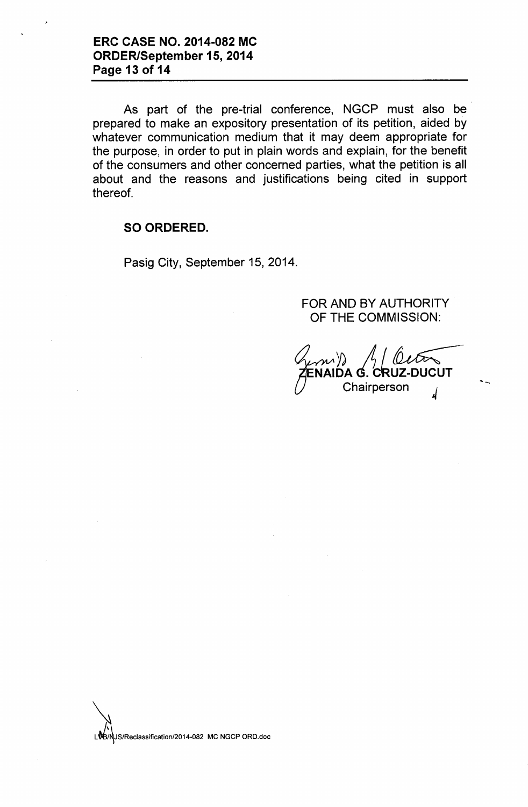As part of the pre-trial conference, NGCP must also be prepared to make an expository presentation of its petition, aided by whatever communication medium that it may deem appropriate for the purpose, in order to put in plain words and explain, for the benefit of the consumers and other concerned parties, what the petition is all about and the reasons and justifications being cited in support thereof.

#### **SO ORDERED.**

Pasig City, September 15, 2014.

FOR AND BY AUTHORITY OF THE COMMISSION:

*~ A~.-* CRUZ-DUCUT Chairperson

'-

LVB/NUS/Reclassification/2014-082 MC NGCP ORD.doc